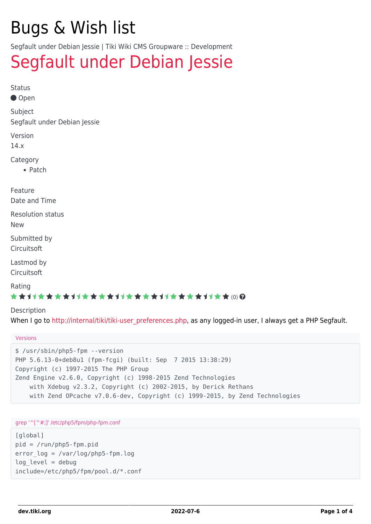# Bugs & Wish list

Segfault under Debian Jessie | Tiki Wiki CMS Groupware :: Development

# [Segfault under Debian Jessie](https://dev.tiki.org/item5720-Segfault-under-Debian-Jessie)

Status

● Open

Subject

Segfault under Debian Jessie

Version

14.x

Category

• Patch

Feature Date and Time

Resolution status

New

Submitted by Circuitsoft

Lastmod by **Circuitsoft** 

Rating

### \*\*\*\*\*\*\*\*\*\*\*\*\*\*\*\*\*\*\*\*\*\*\*\*\*\*\*\*\*\*

Description

When I go to [http://internal/tiki/tiki-user\\_preferences.php,](http://internal/tiki/tiki-user_preferences.php) as any logged-in user, I always get a PHP Segfault.

#### Versions

\$ /usr/sbin/php5-fpm --version PHP 5.6.13-0+deb8u1 (fpm-fcgi) (built: Sep 7 2015 13:38:29) Copyright (c) 1997-2015 The PHP Group Zend Engine v2.6.0, Copyright (c) 1998-2015 Zend Technologies with Xdebug v2.3.2, Copyright (c) 2002-2015, by Derick Rethans with Zend OPcache v7.0.6-dev, Copyright (c) 1999-2015, by Zend Technologies

#### grep '^[^#;]' /etc/php5/fpm/php-fpm.conf

[global] pid = /run/php5-fpm.pid error\_log = /var/log/php5-fpm.log  $log$  level = debug include=/etc/php5/fpm/pool.d/\*.conf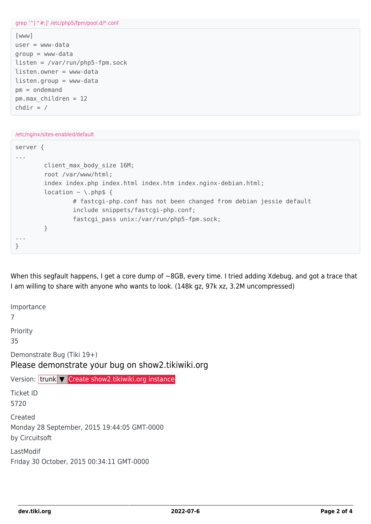```
grep '^[^#;]' /etc/php5/fpm/pool.d/*.conf
[www]
user = www-data
group = www-data
listen = /var/run/php5-fpm.sock
listen.owner = www-data
listen.qroup = www-datapm = ondemand
pm.max_children = 12
chdir = //etc/nginx/sites-enabled/default
server {
...
        client max body size 16M;
         root /var/www/html;
        index index.php index.html index.htm index.nginx-debian.html;
        location \sim \backslash.php$ {
                  # fastcgi-php.conf has not been changed from debian jessie default
                  include snippets/fastcgi-php.conf;
                 fastcgi pass unix:/var/run/php5-fpm.sock;
         }
...
}
```
When this segfault happens, I get a core dump of ~8GB, every time. I tried adding Xdebug, and got a trace that I am willing to share with anyone who wants to look. (148k gz, 97k xz, 3.2M uncompressed)

Importance 7 Priority 35 Demonstrate Bug (Tiki 19+) Please demonstrate your bug on show2.tikiwiki.org Version: trunk ▼ [Create show2.tikiwiki.org instance](#page--1-0) Ticket ID 5720 Created Monday 28 September, 2015 19:44:05 GMT-0000 by Circuitsoft LastModif Friday 30 October, 2015 00:34:11 GMT-0000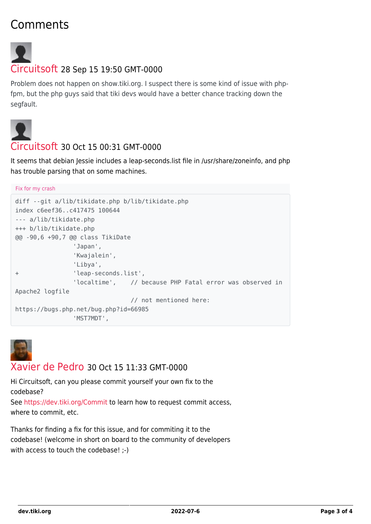# Comments



## [Circuitsoft](https://dev.tiki.org/user11774) 28 Sep 15 19:50 GMT-0000

Problem does not happen on show.tiki.org. I suspect there is some kind of issue with phpfpm, but the php guys said that tiki devs would have a better chance tracking down the segfault.



## [Circuitsoft](https://dev.tiki.org/user11774) 30 Oct 15 00:31 GMT-0000

It seems that debian Jessie includes a leap-seconds. List file in /usr/share/zoneinfo, and php has trouble parsing that on some machines.

```
Fix for my crash
diff --git a/lib/tikidate.php b/lib/tikidate.php
index c6eef36..c417475 100644
--- a/lib/tikidate.php
+++ b/lib/tikidate.php
@@ -90,6 +90,7 @@ class TikiDate
                 'Japan',
                 'Kwajalein',
                 'Libya',
+ 'leap-seconds.list',
                'localtime', // because PHP Fatal error was observed in
Apache2 logfile
                                 // not mentioned here:
https://bugs.php.net/bug.php?id=66985
                 'MST7MDT',
```


### [Xavier de Pedro](https://dev.tiki.org/user9794) 30 Oct 15 11:33 GMT-0000

Hi Circuitsoft, can you please commit yourself your own fix to the codebase?

See <https://dev.tiki.org/Commit> to learn how to request commit access, where to commit, etc.

Thanks for finding a fix for this issue, and for commiting it to the codebase! (welcome in short on board to the community of developers with access to touch the codebase! :-)